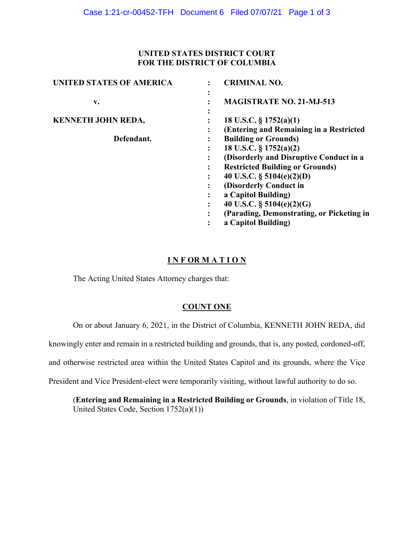## **UNITED STATES DISTRICT COURT FOR THE DISTRICT OF COLUMBIA**

| <b>UNITED STATES OF AMERICA</b> | <b>CRIMINAL NO.</b>                                                                                                                                                                                                                                                                                          |
|---------------------------------|--------------------------------------------------------------------------------------------------------------------------------------------------------------------------------------------------------------------------------------------------------------------------------------------------------------|
| v.                              | <b>MAGISTRATE NO. 21-MJ-513</b>                                                                                                                                                                                                                                                                              |
| <b>KENNETH JOHN REDA,</b>       | ٠<br>18 U.S.C. $\S 1752(a)(1)$<br>(Entering and Remaining in a Restricted                                                                                                                                                                                                                                    |
| Defendant.                      | <b>Building or Grounds)</b><br>18 U.S.C. § 1752(a)(2)<br>(Disorderly and Disruptive Conduct in a<br><b>Restricted Building or Grounds)</b><br>40 U.S.C. $\S$ 5104(e)(2)(D)<br>(Disorderly Conduct in<br>a Capitol Building)<br>40 U.S.C. § $5104(e)(2)(G)$<br>٠<br>(Parading, Demonstrating, or Picketing in |
|                                 | a Capitol Building)                                                                                                                                                                                                                                                                                          |

## **I N F OR M A T I O N**

The Acting United States Attorney charges that:

# **COUNT ONE**

On or about January 6, 2021, in the District of Columbia, KENNETH JOHN REDA, did

knowingly enter and remain in a restricted building and grounds, that is, any posted, cordoned-off,

and otherwise restricted area within the United States Capitol and its grounds, where the Vice

President and Vice President-elect were temporarily visiting, without lawful authority to do so.

(**Entering and Remaining in a Restricted Building or Grounds**, in violation of Title 18, United States Code, Section 1752(a)(1))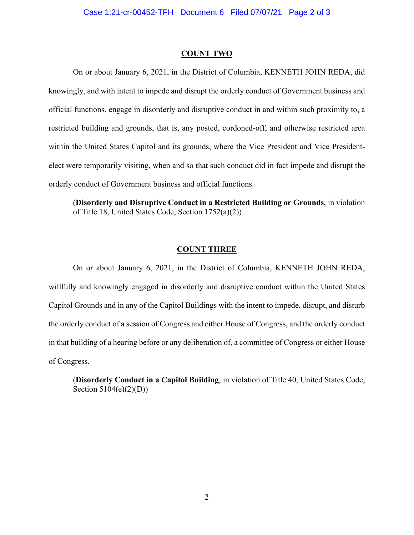#### **COUNT TWO**

On or about January 6, 2021, in the District of Columbia, KENNETH JOHN REDA, did knowingly, and with intent to impede and disrupt the orderly conduct of Government business and official functions, engage in disorderly and disruptive conduct in and within such proximity to, a restricted building and grounds, that is, any posted, cordoned-off, and otherwise restricted area within the United States Capitol and its grounds, where the Vice President and Vice Presidentelect were temporarily visiting, when and so that such conduct did in fact impede and disrupt the orderly conduct of Government business and official functions.

(**Disorderly and Disruptive Conduct in a Restricted Building or Grounds**, in violation of Title 18, United States Code, Section 1752(a)(2))

### **COUNT THREE**

On or about January 6, 2021, in the District of Columbia, KENNETH JOHN REDA, willfully and knowingly engaged in disorderly and disruptive conduct within the United States Capitol Grounds and in any of the Capitol Buildings with the intent to impede, disrupt, and disturb the orderly conduct of a session of Congress and either House of Congress, and the orderly conduct in that building of a hearing before or any deliberation of, a committee of Congress or either House of Congress.

(**Disorderly Conduct in a Capitol Building**, in violation of Title 40, United States Code, Section 5104(e)(2)(D))